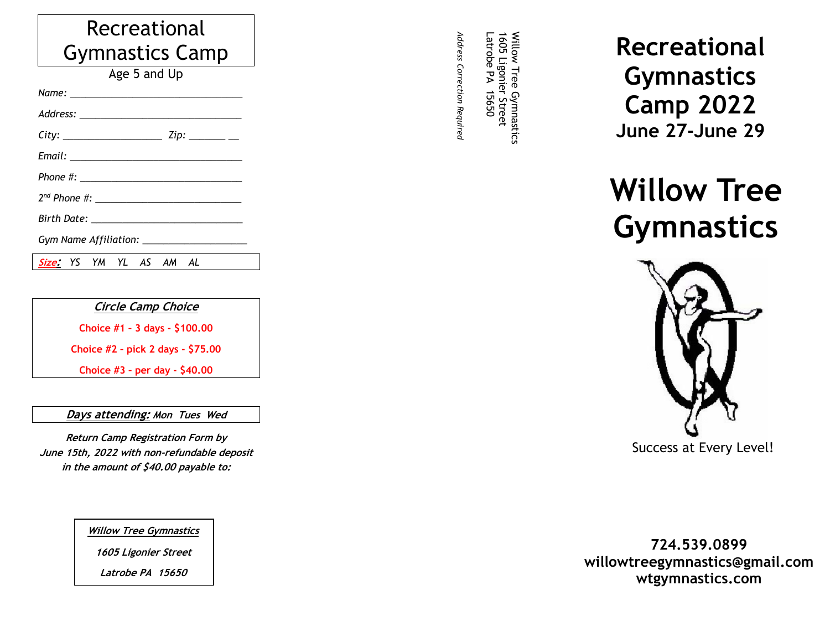## Recreational Gymnastics Camp

Age 5 and Up

*Name: \_\_\_\_\_\_\_\_\_\_\_\_\_\_\_\_\_\_\_\_\_\_\_\_\_\_\_\_\_\_\_\_\_*

2022 Registration *Address: \_\_\_\_\_\_\_\_\_\_\_\_\_\_\_\_\_\_\_\_\_\_\_\_\_\_\_\_\_\_\_*

*City: \_\_\_\_\_\_\_\_\_\_\_\_\_\_\_\_\_\_\_ Zip: \_\_\_\_\_\_\_ \_\_*

*Email: \_\_\_\_\_\_\_\_\_\_\_\_\_\_\_\_\_\_\_\_\_\_\_\_\_\_\_\_\_\_\_\_\_*

*Phone #: \_\_\_\_\_\_\_\_\_\_\_\_\_\_\_\_\_\_\_\_\_\_\_\_\_\_\_\_\_\_\_*

*2nd Phone #: \_\_\_\_\_\_\_\_\_\_\_\_\_\_\_\_\_\_\_\_\_\_\_\_\_\_\_\_*

*Birth Date: \_\_\_\_\_\_\_\_\_\_\_\_\_\_\_\_\_\_\_\_\_\_\_\_\_\_\_\_\_*

*Gym Name Affiliation: \_\_\_\_\_\_\_\_\_\_\_\_\_\_\_\_\_\_\_\_*

**Size:** *YS YM YL AS AM AL*

**Circle Camp Choice**

**Choice #1 – 3 days - \$100.00**

**Choice #2 – pick 2 days - \$75.00**

**Choice #3 – per day - \$40.00**

**Days attending: Mon Tues Wed** 

**Return Camp Registration Form by June 15th, 2022 with non-refundable deposit in the amount of \$40.00 payable to:**

**Willow Tree Gymnastics**

**1605 Ligonier Street**

**Latrobe PA 15650**

*Address Correction Required* Latrobe PA 15650 1605 Ligonier Street *Adress Correction Required* -atrobe 1605 Ligonie  $\overline{\mathbf{z}}$ 15650 - Street

Willow Tree Gymnastics

Willow Tree Gymnastics

**Recreational Gymnastics Camp 2022 June 27-June 29**

**Willow Tree Gymnastics**



**724.539.0899 willowtreegymnastics@gmail.com wtgymnastics.com**